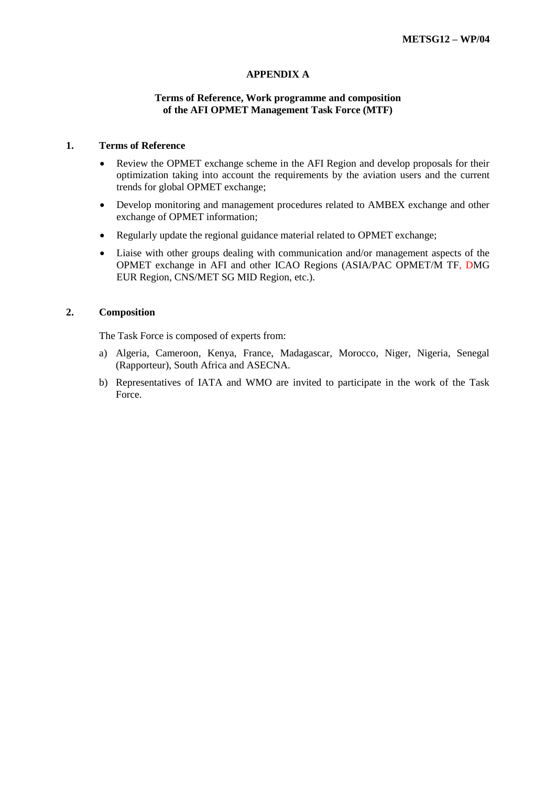## **APPENDIX A**

### **Terms of Reference, Work programme and composition of the AFI OPMET Management Task Force (MTF)**

#### **1. Terms of Reference**

- Review the OPMET exchange scheme in the AFI Region and develop proposals for their optimization taking into account the requirements by the aviation users and the current trends for global OPMET exchange;
- Develop monitoring and management procedures related to AMBEX exchange and other exchange of OPMET information;
- Regularly update the regional guidance material related to OPMET exchange;
- Liaise with other groups dealing with communication and/or management aspects of the OPMET exchange in AFI and other ICAO Regions (ASIA/PAC OPMET/M TF, DMG EUR Region, CNS/MET SG MID Region, etc.).

#### **2. Composition**

The Task Force is composed of experts from:

- a) Algeria, Cameroon, Kenya, France, Madagascar, Morocco, Niger, Nigeria, Senegal (Rapporteur), South Africa and ASECNA.
- b) Representatives of IATA and WMO are invited to participate in the work of the Task Force.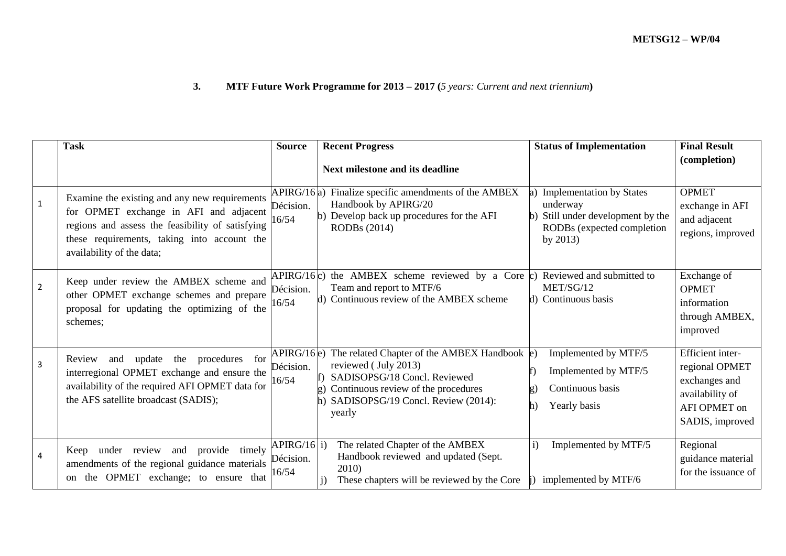# **3. MTF Future Work Programme for 2013 – 2017 (***5 years: Current and next triennium***)**

|                | <b>Task</b>                                                                                                                                                                                                             | <b>Source</b>                     | <b>Recent Progress</b>                                                                                                                                                                                      | <b>Status of Implementation</b>                                                                                                            | <b>Final Result</b>                                                                                       |
|----------------|-------------------------------------------------------------------------------------------------------------------------------------------------------------------------------------------------------------------------|-----------------------------------|-------------------------------------------------------------------------------------------------------------------------------------------------------------------------------------------------------------|--------------------------------------------------------------------------------------------------------------------------------------------|-----------------------------------------------------------------------------------------------------------|
|                |                                                                                                                                                                                                                         |                                   | <b>Next milestone and its deadline</b>                                                                                                                                                                      |                                                                                                                                            | (completion)                                                                                              |
| $\mathbf{1}$   | Examine the existing and any new requirements<br>for OPMET exchange in AFI and adjacent<br>regions and assess the feasibility of satisfying<br>these requirements, taking into account the<br>availability of the data; | APIRG/16a)<br>Décision.<br>16/54  | Finalize specific amendments of the AMBEX<br>Handbook by APIRG/20<br>Develop back up procedures for the AFI<br>RODBs (2014)                                                                                 | <b>Implementation by States</b><br>underway<br>Still under development by the<br>$\mathbf{b}$<br>RODBs (expected completion<br>by $2013$ ) | <b>OPMET</b><br>exchange in AFI<br>and adjacent<br>regions, improved                                      |
| $\overline{2}$ | Keep under review the AMBEX scheme and<br>other OPMET exchange schemes and prepare<br>proposal for updating the optimizing of the<br>schemes;                                                                           | APIRG/16c)<br>Décision.<br>16/54  | the AMBEX scheme reviewed by a Core $(c)$<br>Team and report to MTF/6<br>d) Continuous review of the AMBEX scheme                                                                                           | Reviewed and submitted to<br>MET/SG/12<br>Continuous basis<br>d)                                                                           | Exchange of<br><b>OPMET</b><br>information<br>through AMBEX,<br>improved                                  |
| 3              | procedures for<br>update the<br>Review<br>and<br>interregional OPMET exchange and ensure the<br>availability of the required AFI OPMET data for<br>the AFS satellite broadcast (SADIS);                                 | APIRG/16e)<br>Décision.<br>16/54  | The related Chapter of the AMBEX Handbook $\ket{\mathrm{e}}$<br>reviewed (July 2013)<br>SADISOPSG/18 Concl. Reviewed<br>Continuous review of the procedures<br>SADISOPSG/19 Concl. Review (2014):<br>yearly | Implemented by MTF/5<br>Implemented by MTF/5<br>Continuous basis<br>Yearly basis                                                           | Efficient inter-<br>regional OPMET<br>exchanges and<br>availability of<br>AFI OPMET on<br>SADIS, improved |
| 4              | under review and<br>provide timely<br>Keep<br>amendments of the regional guidance materials<br>the OPMET exchange; to ensure that<br><sub>on</sub>                                                                      | APIRG/16 i)<br>Décision.<br>16/54 | The related Chapter of the AMBEX<br>Handbook reviewed and updated (Sept.<br>2010)<br>These chapters will be reviewed by the Core                                                                            | Implemented by MTF/5<br>$\mathbf{i}$<br>implemented by MTF/6                                                                               | Regional<br>guidance material<br>for the issuance of                                                      |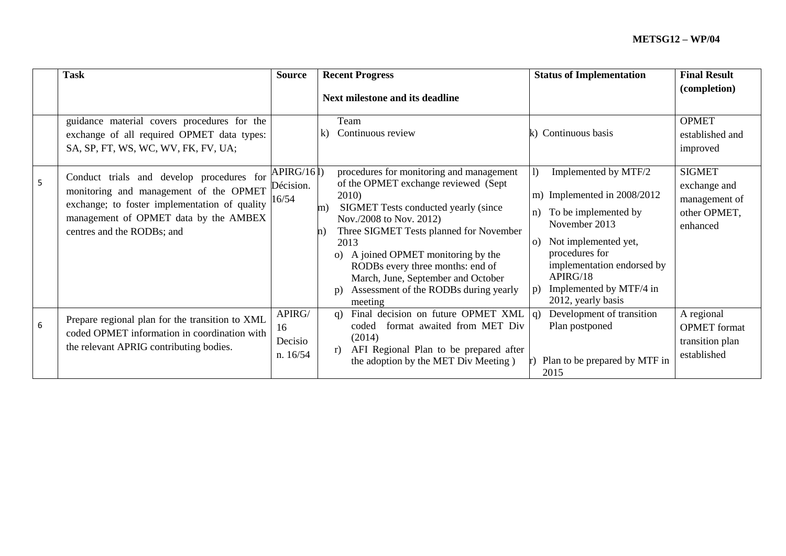|   | <b>Task</b>                                                                                                                                                                                                 | <b>Source</b>                       | <b>Recent Progress</b>                                                                                                                                                                                                                                                                                                                                                                                                                                     | <b>Status of Implementation</b>                                                                                                                                                                                                         | <b>Final Result</b>                                                        |
|---|-------------------------------------------------------------------------------------------------------------------------------------------------------------------------------------------------------------|-------------------------------------|------------------------------------------------------------------------------------------------------------------------------------------------------------------------------------------------------------------------------------------------------------------------------------------------------------------------------------------------------------------------------------------------------------------------------------------------------------|-----------------------------------------------------------------------------------------------------------------------------------------------------------------------------------------------------------------------------------------|----------------------------------------------------------------------------|
|   |                                                                                                                                                                                                             |                                     | Next milestone and its deadline                                                                                                                                                                                                                                                                                                                                                                                                                            |                                                                                                                                                                                                                                         | (completion)                                                               |
|   | guidance material covers procedures for the<br>exchange of all required OPMET data types:<br>SA, SP, FT, WS, WC, WV, FK, FV, UA;                                                                            |                                     | Team<br>Continuous review<br>k)                                                                                                                                                                                                                                                                                                                                                                                                                            | Continuous basis                                                                                                                                                                                                                        | <b>OPMET</b><br>established and<br>improved                                |
| 5 | Conduct trials and develop procedures for<br>monitoring and management of the OPMET<br>exchange; to foster implementation of quality<br>management of OPMET data by the AMBEX<br>centres and the RODBs; and | APIRG/161)<br>Décision.<br>16/54    | procedures for monitoring and management<br>of the OPMET exchange reviewed (Sept<br>2010)<br>SIGMET Tests conducted yearly (since<br>m)<br>Nov./2008 to Nov. 2012)<br>Three SIGMET Tests planned for November<br>$\ln$<br>$\Omega$<br>2013<br>A joined OPMET monitoring by the<br>$\Omega$<br>RODBs every three months: end of<br>March, June, September and October<br>Assessment of the RODBs during yearly<br>$\mathbf{p}$<br>$\mathbf{D}$ )<br>meeting | Implemented by MTF/2<br>m) Implemented in 2008/2012<br>To be implemented by<br>n)<br>November 2013<br>Not implemented yet,<br>procedures for<br>implementation endorsed by<br>APIRG/18<br>Implemented by MTF/4 in<br>2012, yearly basis | <b>SIGMET</b><br>exchange and<br>management of<br>other OPMET,<br>enhanced |
| 6 | Prepare regional plan for the transition to XML<br>coded OPMET information in coordination with<br>the relevant APRIG contributing bodies.                                                                  | APIRG/<br>16<br>Decisio<br>n. 16/54 | Final decision on future OPMET XML $ q\rangle$<br>q)<br>format awaited from MET Div<br>coded<br>(2014)<br>AFI Regional Plan to be prepared after<br>r)<br>the adoption by the MET Div Meeting)                                                                                                                                                                                                                                                             | Development of transition<br>Plan postponed<br>Plan to be prepared by MTF in<br>2015                                                                                                                                                    | A regional<br><b>OPMET</b> format<br>transition plan<br>established        |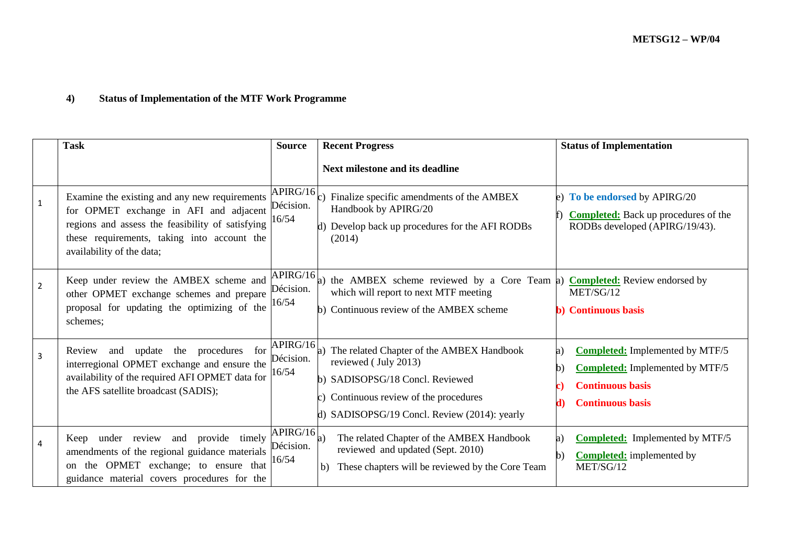# **4) Status of Implementation of the MTF Work Programme**

|                | <b>Task</b>                                                                                                                                                                                                             | <b>Source</b>                  | <b>Recent Progress</b>                                                                                                                                                                         | <b>Status of Implementation</b>                                                                                                              |
|----------------|-------------------------------------------------------------------------------------------------------------------------------------------------------------------------------------------------------------------------|--------------------------------|------------------------------------------------------------------------------------------------------------------------------------------------------------------------------------------------|----------------------------------------------------------------------------------------------------------------------------------------------|
|                |                                                                                                                                                                                                                         |                                | <b>Next milestone and its deadline</b>                                                                                                                                                         |                                                                                                                                              |
| $\mathbf{1}$   | Examine the existing and any new requirements<br>for OPMET exchange in AFI and adjacent<br>regions and assess the feasibility of satisfying<br>these requirements, taking into account the<br>availability of the data; | APIRG/16<br>Décision.<br>16/54 | Finalize specific amendments of the AMBEX<br>Handbook by APIRG/20<br>d) Develop back up procedures for the AFI RODBs<br>(2014)                                                                 | e) To be endorsed by APIRG/20<br><b>Completed:</b> Back up procedures of the<br>RODBs developed (APIRG/19/43).                               |
| $\overline{2}$ | Keep under review the AMBEX scheme and<br>other OPMET exchange schemes and prepare<br>proposal for updating the optimizing of the<br>schemes;                                                                           | APIRG/16<br>Décision.<br>16/54 | a) the AMBEX scheme reviewed by a Core Team a) <b>Completed:</b> Review endorsed by<br>which will report to next MTF meeting<br>b) Continuous review of the AMBEX scheme                       | MET/SG/12<br><b>b)</b> Continuous basis                                                                                                      |
| $\overline{3}$ | and update the procedures for<br>Review<br>interregional OPMET exchange and ensure the<br>availability of the required AFI OPMET data for<br>the AFS satellite broadcast (SADIS);                                       | APIRG/16<br>Décision.<br>16/54 | a) The related Chapter of the AMBEX Handbook<br>reviewed (July 2013)<br>b) SADISOPSG/18 Concl. Reviewed<br>Continuous review of the procedures<br>d) SADISOPSG/19 Concl. Review (2014): yearly | <b>Completed:</b> Implemented by MTF/5<br>a)<br><b>Completed:</b> Implemented by MTF/5<br><b>Continuous basis</b><br><b>Continuous basis</b> |
| $\overline{4}$ | provide timely<br>under review and<br>Keep<br>amendments of the regional guidance materials<br>the OPMET exchange; to ensure that<br><sub>on</sub><br>guidance material covers procedures for the                       | APIRG/16<br>Décision.<br>16/54 | The related Chapter of the AMBEX Handbook<br>a)<br>reviewed and updated (Sept. 2010)<br>These chapters will be reviewed by the Core Team<br>b)                                                 | <b>Completed:</b> Implemented by MTF/5<br>a)<br><b>Completed:</b> implemented by<br>b)<br>MET/SG/12                                          |